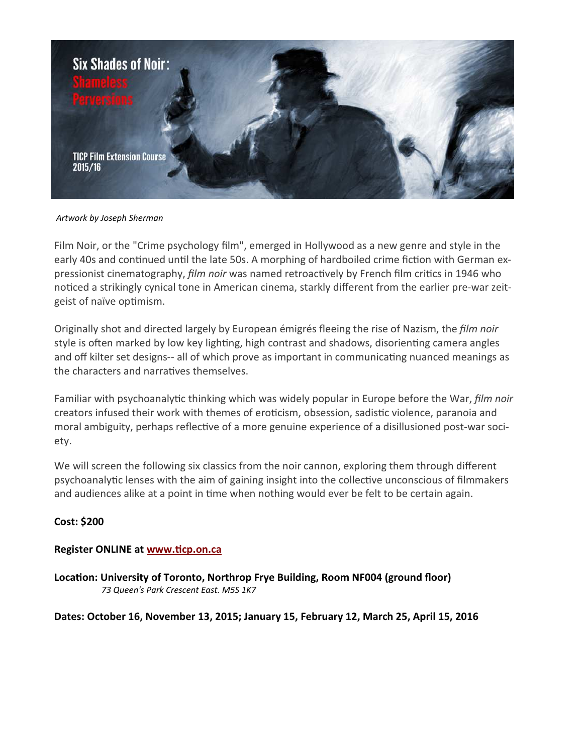

Artwork by Joseph Sherman

Film Noir, or the "Crime psychology film", emerged in Hollywood as a new genre and style in the early 40s and continued until the late 50s. A morphing of hardboiled crime fiction with German expressionist cinematography, *film noir* was named retroactively by French film critics in 1946 who noticed a strikingly cynical tone in American cinema, starkly different from the earlier pre-war zeitgeist of naïve optimism.

Originally shot and directed largely by European émigrés fleeing the rise of Nazism, the film noir style is often marked by low key lighting, high contrast and shadows, disorienting camera angles and off kilter set designs-- all of which prove as important in communicating nuanced meanings as the characters and narratives themselves.

Familiar with psychoanalytic thinking which was widely popular in Europe before the War, *film noir* creators infused their work with themes of eroticism, obsession, sadistic violence, paranoia and moral ambiguity, perhaps reflective of a more genuine experience of a disillusioned post-war society.

We will screen the following six classics from the noir cannon, exploring them through different psychoanalytic lenses with the aim of gaining insight into the collective unconscious of filmmakers and audiences alike at a point in time when nothing would ever be felt to be certain again.

## Cost: \$200

## Register ONLINE at www.ticp.on.ca

Location: University of Toronto, Northrop Frye Building, Room NF004 (ground floor) 73 Queen's Park Crescent East. M5S 1K7

## Dates: October 16, November 13, 2015; January 15, February 12, March 25, April 15, 2016